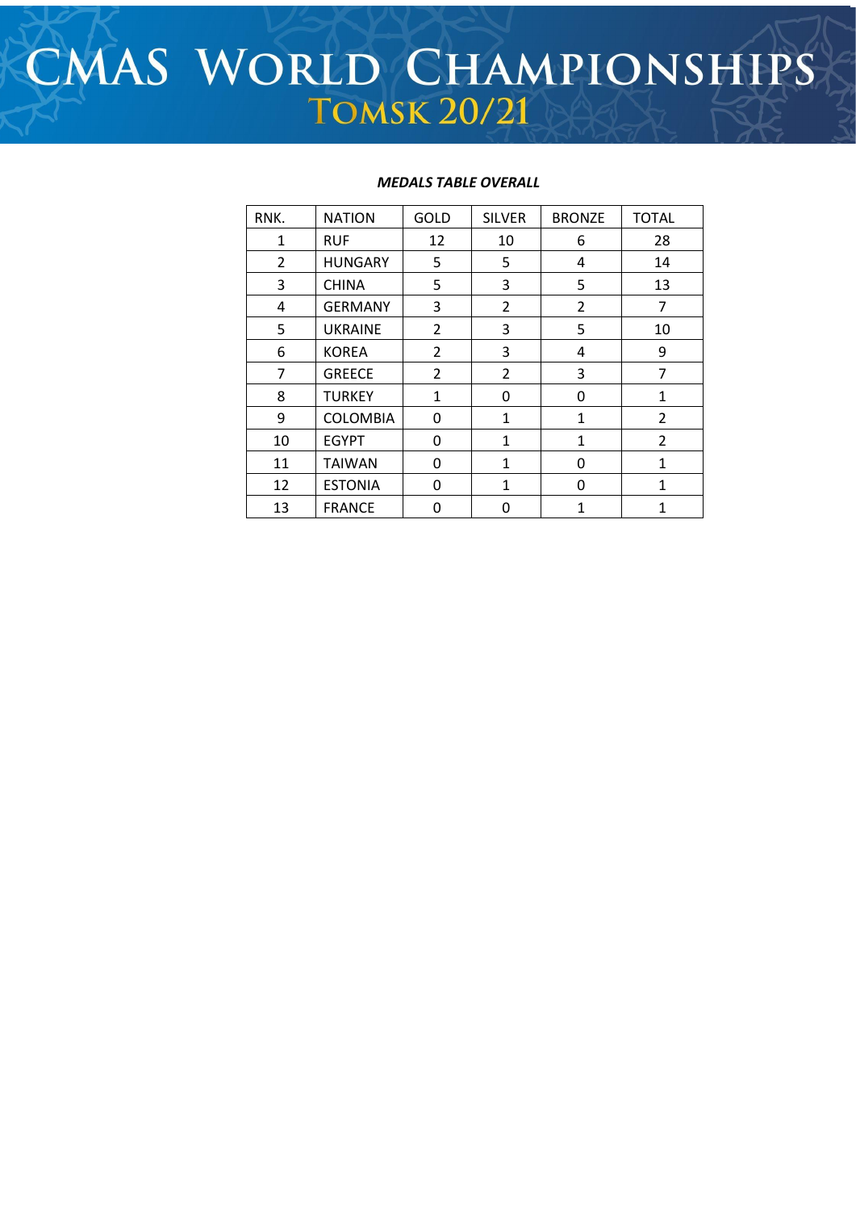# CMAS WORLD CHAMPIONSHIPS **TOMSK 20/21**

## *MEDALS TABLE OVERALL*

| RNK.           | <b>NATION</b>   | <b>GOLD</b>    | <b>SILVER</b>  | <b>BRONZE</b>  | <b>TOTAL</b> |
|----------------|-----------------|----------------|----------------|----------------|--------------|
| $\mathbf{1}$   | <b>RUF</b>      | 12             | 10             | 6              | 28           |
| $\overline{2}$ | <b>HUNGARY</b>  | 5              | 5              | 4              | 14           |
| 3              | <b>CHINA</b>    | 5              | 3              | 5              | 13           |
| 4              | <b>GERMANY</b>  | 3              | $\overline{2}$ | $\overline{2}$ | 7            |
| 5              | <b>UKRAINE</b>  | $\overline{2}$ | 3              | 5              | 10           |
| 6              | <b>KOREA</b>    | $\overline{2}$ | 3              | 4              | 9            |
| 7              | <b>GREECE</b>   | $\overline{2}$ | $\overline{2}$ | 3              | 7            |
| 8              | <b>TURKEY</b>   | $\mathbf{1}$   | 0              | 0              | 1            |
| 9              | <b>COLOMBIA</b> | 0              | 1              | 1              | 2            |
| 10             | <b>EGYPT</b>    | 0              | 1              | 1              | 2            |
| 11             | <b>TAIWAN</b>   | 0              | $\mathbf{1}$   | 0              | 1            |
| 12             | <b>ESTONIA</b>  | 0              | 1              | $\Omega$       | 1            |
| 13             | <b>FRANCE</b>   | 0              | 0              | 1              | 1            |